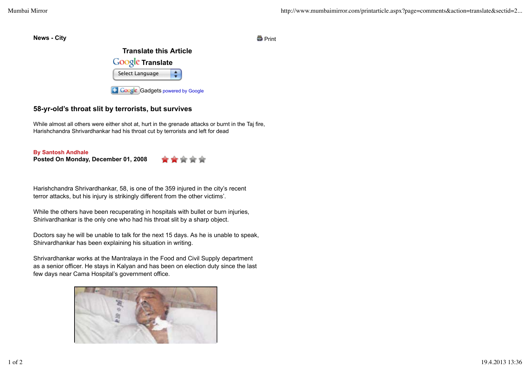**News - City** Print



## **58-yr-old's throat slit by terrorists, but survives**

While almost all others were either shot at, hurt in the grenade attacks or burnt in the Taj fire, Harishchandra Shrivardhankar had his throat cut by terrorists and left for dead

**Posted On Monday, December 01, 2008 By Santosh Andhale**



Harishchandra Shrivardhankar, 58, is one of the 359 injured in the city's recent terror attacks, but his injury is strikingly different from the other victims'.

While the others have been recuperating in hospitals with bullet or burn injuries, Shirivardhankar is the only one who had his throat slit by a sharp object.

Doctors say he will be unable to talk for the next 15 days. As he is unable to speak, Shirvardhankar has been explaining his situation in writing.

Shrivardhankar works at the Mantralaya in the Food and Civil Supply department as a senior officer. He stays in Kalyan and has been on election duty since the last few days near Cama Hospital's government office.